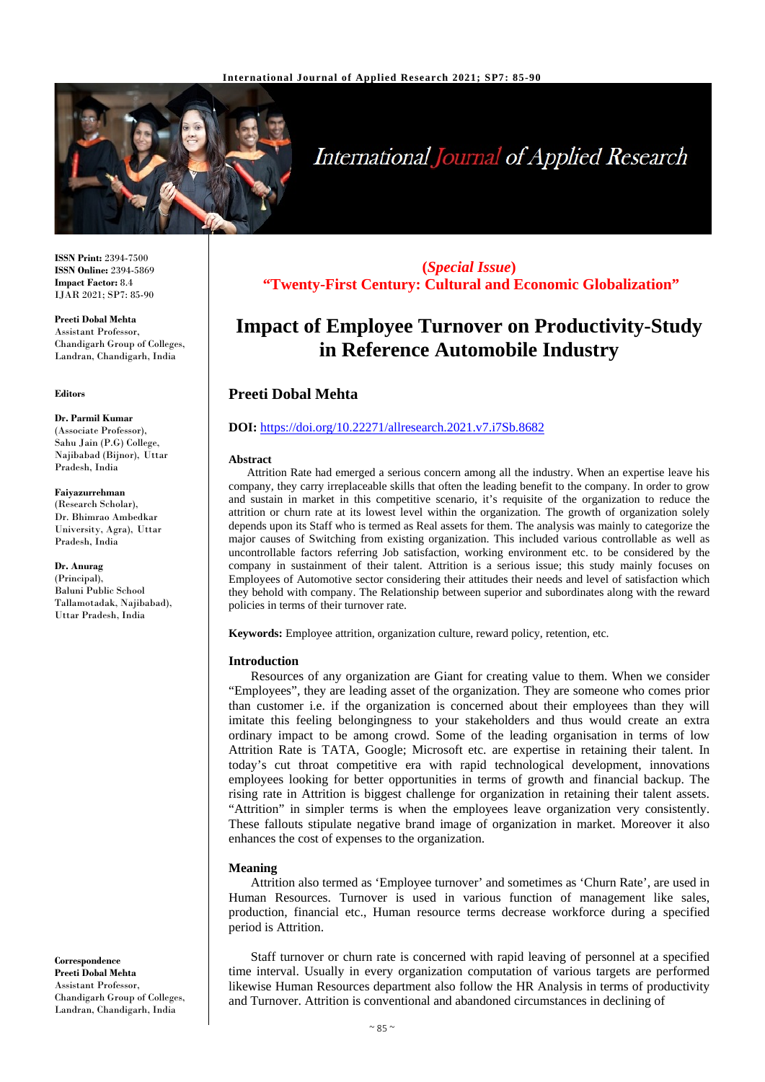

# **International Journal of Applied Research**

**ISSN Print:** 2394-7500 **ISSN Online:** 2394-5869 **Impact Factor:** 8.4 IJAR 2021; SP7: 85-90

**Preeti Dobal Mehta** Assistant Professor, Chandigarh Group of Colleges, Landran, Chandigarh, India

#### **Editors**

**Dr. Parmil Kumar** (Associate Professor), Sahu Jain (P.G) College, Najibabad (Bijnor), Uttar Pradesh, India

#### **Faiyazurrehman**

(Research Scholar), Dr. Bhimrao Ambedkar University, Agra), Uttar Pradesh, India

**Dr. Anurag** (Principal), Baluni Public School Tallamotadak, Najibabad), Uttar Pradesh, India

**Correspondence Preeti Dobal Mehta** Assistant Professor, Chandigarh Group of Colleges, Landran, Chandigarh, India

**(***Special Issue***) "Twenty-First Century: Cultural and Economic Globalization"**

## **Impact of Employee Turnover on Productivity-Study in Reference Automobile Industry**

## **Preeti Dobal Mehta**

#### **DOI:** <https://doi.org/10.22271/allresearch.2021.v7.i7Sb.8682>

#### **Abstract**

Attrition Rate had emerged a serious concern among all the industry. When an expertise leave his company, they carry irreplaceable skills that often the leading benefit to the company. In order to grow and sustain in market in this competitive scenario, it's requisite of the organization to reduce the attrition or churn rate at its lowest level within the organization. The growth of organization solely depends upon its Staff who is termed as Real assets for them. The analysis was mainly to categorize the major causes of Switching from existing organization. This included various controllable as well as uncontrollable factors referring Job satisfaction, working environment etc. to be considered by the company in sustainment of their talent. Attrition is a serious issue; this study mainly focuses on Employees of Automotive sector considering their attitudes their needs and level of satisfaction which they behold with company. The Relationship between superior and subordinates along with the reward policies in terms of their turnover rate.

**Keywords:** Employee attrition, organization culture, reward policy, retention, etc.

#### **Introduction**

Resources of any organization are Giant for creating value to them. When we consider "Employees", they are leading asset of the organization. They are someone who comes prior than customer i.e. if the organization is concerned about their employees than they will imitate this feeling belongingness to your stakeholders and thus would create an extra ordinary impact to be among crowd. Some of the leading organisation in terms of low Attrition Rate is TATA, Google; Microsoft etc. are expertise in retaining their talent. In today's cut throat competitive era with rapid technological development, innovations employees looking for better opportunities in terms of growth and financial backup. The rising rate in Attrition is biggest challenge for organization in retaining their talent assets. "Attrition" in simpler terms is when the employees leave organization very consistently. These fallouts stipulate negative brand image of organization in market. Moreover it also enhances the cost of expenses to the organization.

#### **Meaning**

Attrition also termed as 'Employee turnover' and sometimes as 'Churn Rate', are used in Human Resources. Turnover is used in various function of management like sales, production, financial etc., Human resource terms decrease workforce during a specified period is Attrition.

Staff turnover or churn rate is concerned with rapid leaving of personnel at a specified time interval. Usually in every organization computation of various targets are performed likewise Human Resources department also follow the HR Analysis in terms of productivity and Turnover. Attrition is conventional and abandoned circumstances in declining of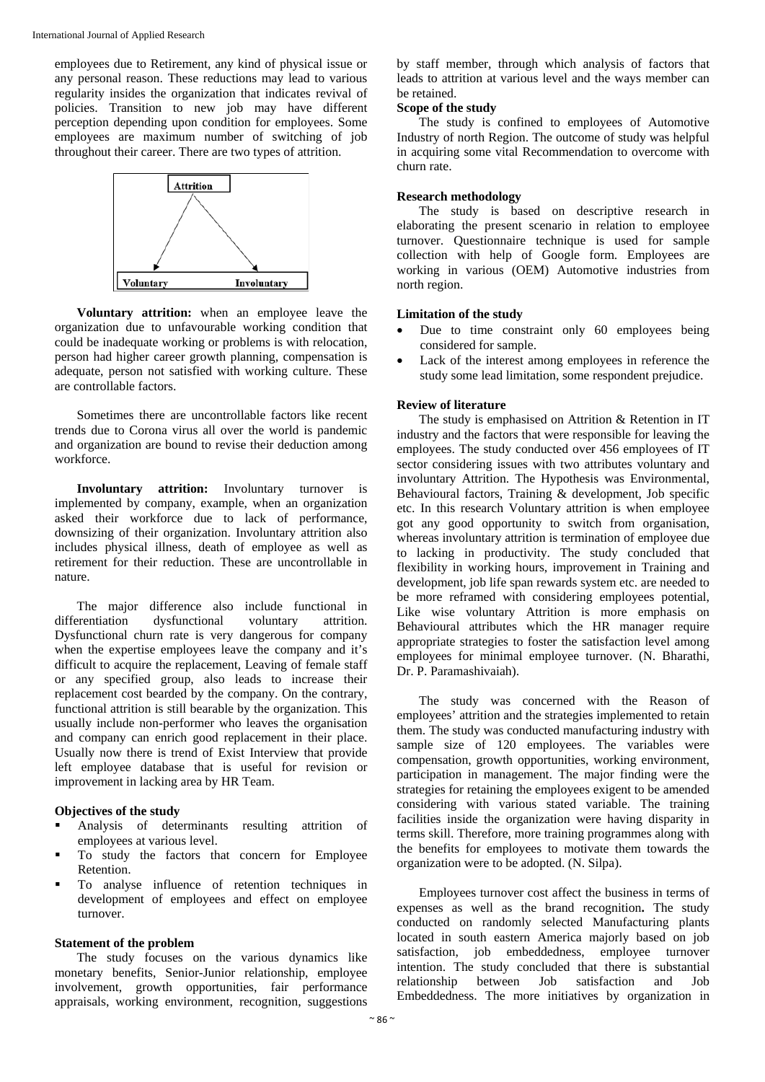employees due to Retirement, any kind of physical issue or any personal reason. These reductions may lead to various regularity insides the organization that indicates revival of policies. Transition to new job may have different perception depending upon condition for employees. Some employees are maximum number of switching of job throughout their career. There are two types of attrition.



**Voluntary attrition:** when an employee leave the organization due to unfavourable working condition that could be inadequate working or problems is with relocation, person had higher career growth planning, compensation is adequate, person not satisfied with working culture. These are controllable factors.

Sometimes there are uncontrollable factors like recent trends due to Corona virus all over the world is pandemic and organization are bound to revise their deduction among workforce.

**Involuntary attrition:** Involuntary turnover is implemented by company, example, when an organization asked their workforce due to lack of performance, downsizing of their organization. Involuntary attrition also includes physical illness, death of employee as well as retirement for their reduction. These are uncontrollable in nature.

The major difference also include functional in differentiation dysfunctional voluntary attrition. Dysfunctional churn rate is very dangerous for company when the expertise employees leave the company and it's difficult to acquire the replacement, Leaving of female staff or any specified group, also leads to increase their replacement cost bearded by the company. On the contrary, functional attrition is still bearable by the organization. This usually include non-performer who leaves the organisation and company can enrich good replacement in their place. Usually now there is trend of Exist Interview that provide left employee database that is useful for revision or improvement in lacking area by HR Team.

#### **Objectives of the study**

- Analysis of determinants resulting attrition of employees at various level.
- To study the factors that concern for Employee Retention.
- To analyse influence of retention techniques in development of employees and effect on employee turnover.

## **Statement of the problem**

The study focuses on the various dynamics like monetary benefits, Senior-Junior relationship, employee involvement, growth opportunities, fair performance appraisals, working environment, recognition, suggestions

by staff member, through which analysis of factors that leads to attrition at various level and the ways member can be retained.

## **Scope of the study**

The study is confined to employees of Automotive Industry of north Region. The outcome of study was helpful in acquiring some vital Recommendation to overcome with churn rate.

#### **Research methodology**

The study is based on descriptive research in elaborating the present scenario in relation to employee turnover. Questionnaire technique is used for sample collection with help of Google form. Employees are working in various (OEM) Automotive industries from north region.

#### **Limitation of the study**

- Due to time constraint only 60 employees being considered for sample.
- Lack of the interest among employees in reference the study some lead limitation, some respondent prejudice.

#### **Review of literature**

The study is emphasised on Attrition & Retention in IT industry and the factors that were responsible for leaving the employees. The study conducted over 456 employees of IT sector considering issues with two attributes voluntary and involuntary Attrition. The Hypothesis was Environmental, Behavioural factors, Training & development, Job specific etc. In this research Voluntary attrition is when employee got any good opportunity to switch from organisation, whereas involuntary attrition is termination of employee due to lacking in productivity. The study concluded that flexibility in working hours, improvement in Training and development, job life span rewards system etc. are needed to be more reframed with considering employees potential, Like wise voluntary Attrition is more emphasis on Behavioural attributes which the HR manager require appropriate strategies to foster the satisfaction level among employees for minimal employee turnover. (N. Bharathi, Dr. P. Paramashivaiah).

The study was concerned with the Reason of employees' attrition and the strategies implemented to retain them. The study was conducted manufacturing industry with sample size of 120 employees. The variables were compensation, growth opportunities, working environment, participation in management. The major finding were the strategies for retaining the employees exigent to be amended considering with various stated variable. The training facilities inside the organization were having disparity in terms skill. Therefore, more training programmes along with the benefits for employees to motivate them towards the organization were to be adopted. (N. Silpa).

Employees turnover cost affect the business in terms of expenses as well as the brand recognition**.** The study conducted on randomly selected Manufacturing plants located in south eastern America majorly based on job satisfaction, job embeddedness, employee turnover intention. The study concluded that there is substantial relationship between Job satisfaction and Job Embeddedness. The more initiatives by organization in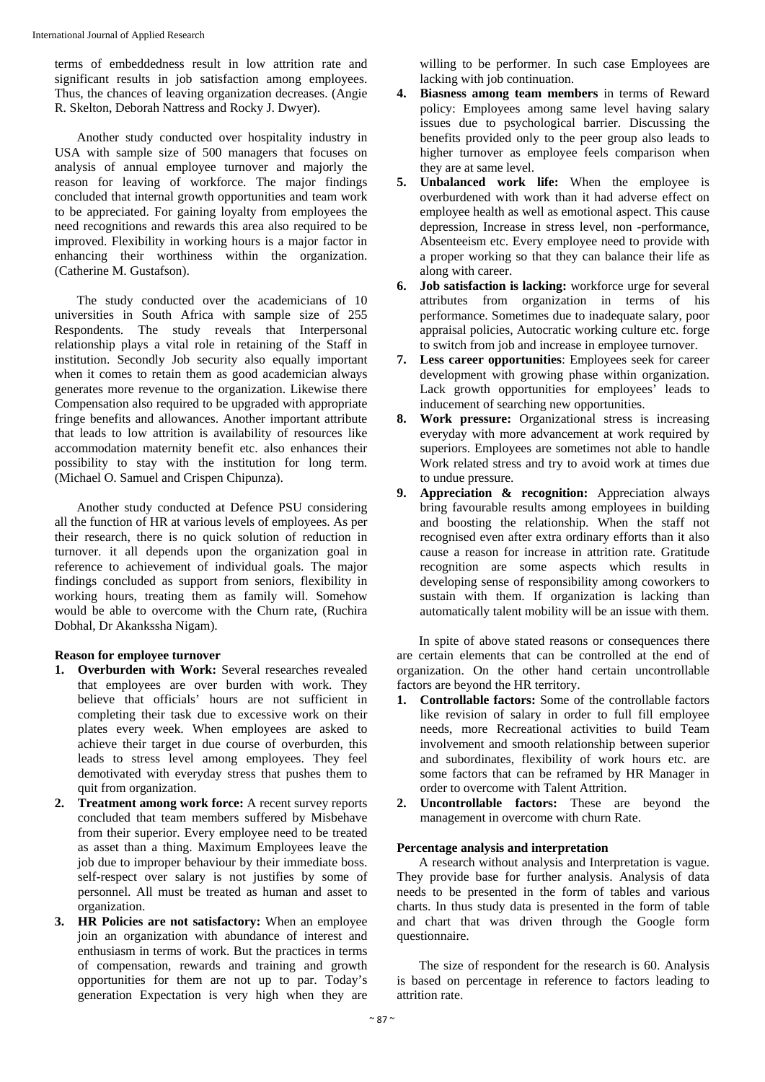terms of embeddedness result in low attrition rate and significant results in job satisfaction among employees. Thus, the chances of leaving organization decreases. (Angie R. Skelton, Deborah Nattress and Rocky J. Dwyer).

Another study conducted over hospitality industry in USA with sample size of 500 managers that focuses on analysis of annual employee turnover and majorly the reason for leaving of workforce. The major findings concluded that internal growth opportunities and team work to be appreciated. For gaining loyalty from employees the need recognitions and rewards this area also required to be improved. Flexibility in working hours is a major factor in enhancing their worthiness within the organization. (Catherine M. Gustafson).

The study conducted over the academicians of 10 universities in South Africa with sample size of 255 Respondents. The study reveals that Interpersonal relationship plays a vital role in retaining of the Staff in institution. Secondly Job security also equally important when it comes to retain them as good academician always generates more revenue to the organization. Likewise there Compensation also required to be upgraded with appropriate fringe benefits and allowances. Another important attribute that leads to low attrition is availability of resources like accommodation maternity benefit etc. also enhances their possibility to stay with the institution for long term. (Michael O. Samuel and Crispen Chipunza).

Another study conducted at Defence PSU considering all the function of HR at various levels of employees. As per their research, there is no quick solution of reduction in turnover. it all depends upon the organization goal in reference to achievement of individual goals. The major findings concluded as support from seniors, flexibility in working hours, treating them as family will. Somehow would be able to overcome with the Churn rate, (Ruchira Dobhal, Dr Akankssha Nigam).

#### **Reason for employee turnover**

- **1. Overburden with Work:** Several researches revealed that employees are over burden with work. They believe that officials' hours are not sufficient in completing their task due to excessive work on their plates every week. When employees are asked to achieve their target in due course of overburden, this leads to stress level among employees. They feel demotivated with everyday stress that pushes them to quit from organization.
- **2. Treatment among work force:** A recent survey reports concluded that team members suffered by Misbehave from their superior. Every employee need to be treated as asset than a thing. Maximum Employees leave the job due to improper behaviour by their immediate boss. self-respect over salary is not justifies by some of personnel. All must be treated as human and asset to organization.
- **3. HR Policies are not satisfactory:** When an employee join an organization with abundance of interest and enthusiasm in terms of work. But the practices in terms of compensation, rewards and training and growth opportunities for them are not up to par. Today's generation Expectation is very high when they are

willing to be performer. In such case Employees are lacking with job continuation.

- **4. Biasness among team members** in terms of Reward policy: Employees among same level having salary issues due to psychological barrier. Discussing the benefits provided only to the peer group also leads to higher turnover as employee feels comparison when they are at same level.
- **5. Unbalanced work life:** When the employee is overburdened with work than it had adverse effect on employee health as well as emotional aspect. This cause depression, Increase in stress level, non -performance, Absenteeism etc. Every employee need to provide with a proper working so that they can balance their life as along with career.
- **6. Job satisfaction is lacking:** workforce urge for several attributes from organization in terms of his performance. Sometimes due to inadequate salary, poor appraisal policies, Autocratic working culture etc. forge to switch from job and increase in employee turnover.
- **7. Less career opportunities**: Employees seek for career development with growing phase within organization. Lack growth opportunities for employees' leads to inducement of searching new opportunities.
- **8. Work pressure:** Organizational stress is increasing everyday with more advancement at work required by superiors. Employees are sometimes not able to handle Work related stress and try to avoid work at times due to undue pressure.
- **9. Appreciation & recognition:** Appreciation always bring favourable results among employees in building and boosting the relationship. When the staff not recognised even after extra ordinary efforts than it also cause a reason for increase in attrition rate. Gratitude recognition are some aspects which results in developing sense of responsibility among coworkers to sustain with them. If organization is lacking than automatically talent mobility will be an issue with them.

In spite of above stated reasons or consequences there are certain elements that can be controlled at the end of organization. On the other hand certain uncontrollable factors are beyond the HR territory.

- **1. Controllable factors:** Some of the controllable factors like revision of salary in order to full fill employee needs, more Recreational activities to build Team involvement and smooth relationship between superior and subordinates, flexibility of work hours etc. are some factors that can be reframed by HR Manager in order to overcome with Talent Attrition.
- **2. Uncontrollable factors:** These are beyond the management in overcome with churn Rate.

## **Percentage analysis and interpretation**

A research without analysis and Interpretation is vague. They provide base for further analysis. Analysis of data needs to be presented in the form of tables and various charts. In thus study data is presented in the form of table and chart that was driven through the Google form questionnaire.

The size of respondent for the research is 60. Analysis is based on percentage in reference to factors leading to attrition rate.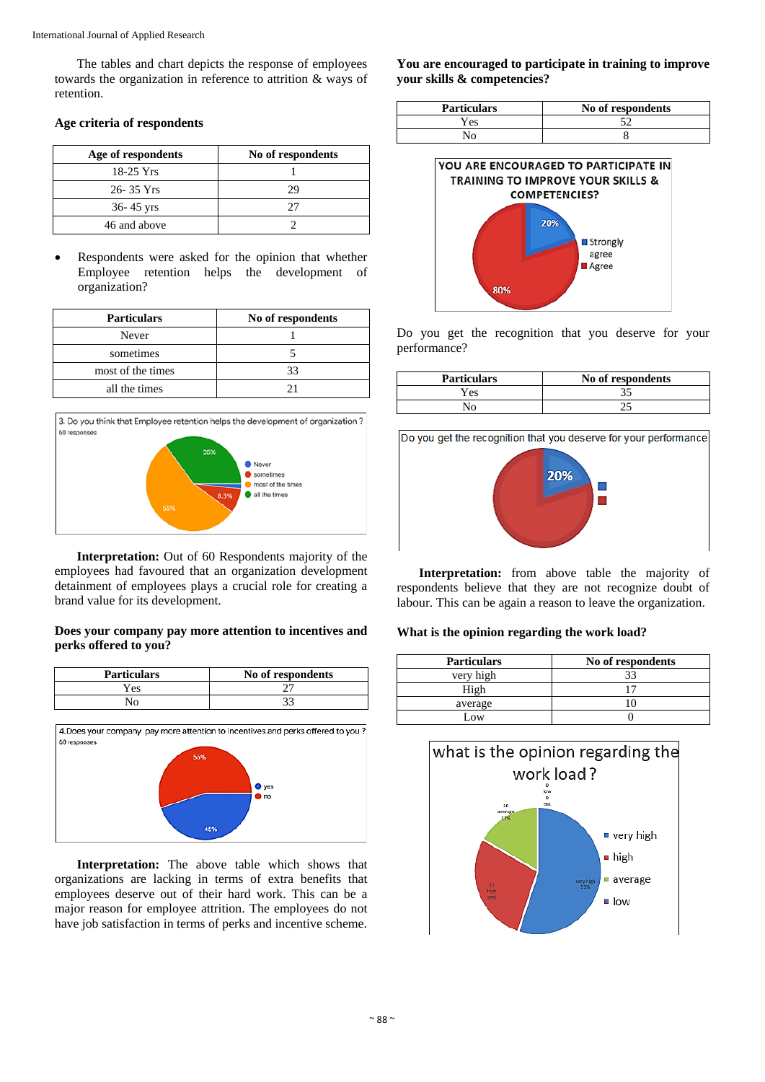The tables and chart depicts the response of employees towards the organization in reference to attrition & ways of retention.

## **Age criteria of respondents**

| Age of respondents | No of respondents |
|--------------------|-------------------|
| $18-25$ Yrs        |                   |
| 26-35 Yrs          | 29                |
| $36 - 45$ yrs      |                   |
| 46 and above       |                   |

• Respondents were asked for the opinion that whether Employee retention helps the development of organization?

| <b>Particulars</b> | No of respondents |
|--------------------|-------------------|
| Never              |                   |
| sometimes          |                   |
| most of the times  | 33                |
| all the times      | ′ 1               |



**Interpretation:** Out of 60 Respondents majority of the employees had favoured that an organization development detainment of employees plays a crucial role for creating a brand value for its development.

## **Does your company pay more attention to incentives and perks offered to you?**

| <b>Particulars</b> | No of respondents |
|--------------------|-------------------|
| Yes                |                   |
| No.                |                   |



**Interpretation:** The above table which shows that organizations are lacking in terms of extra benefits that employees deserve out of their hard work. This can be a major reason for employee attrition. The employees do not have job satisfaction in terms of perks and incentive scheme.

**You are encouraged to participate in training to improve your skills & competencies?**

| <b>Particulars</b> | No of respondents |
|--------------------|-------------------|
| Y es               |                   |
| ง∩                 |                   |



Do you get the recognition that you deserve for your performance?

| <b>Particulars</b> | No of respondents |
|--------------------|-------------------|
| Yes                |                   |
|                    |                   |



**Interpretation:** from above table the majority of respondents believe that they are not recognize doubt of labour. This can be again a reason to leave the organization.

## **What is the opinion regarding the work load?**

| <b>Particulars</b> | No of respondents |
|--------------------|-------------------|
| very high          |                   |
| High               |                   |
| average            |                   |
| .0W                |                   |

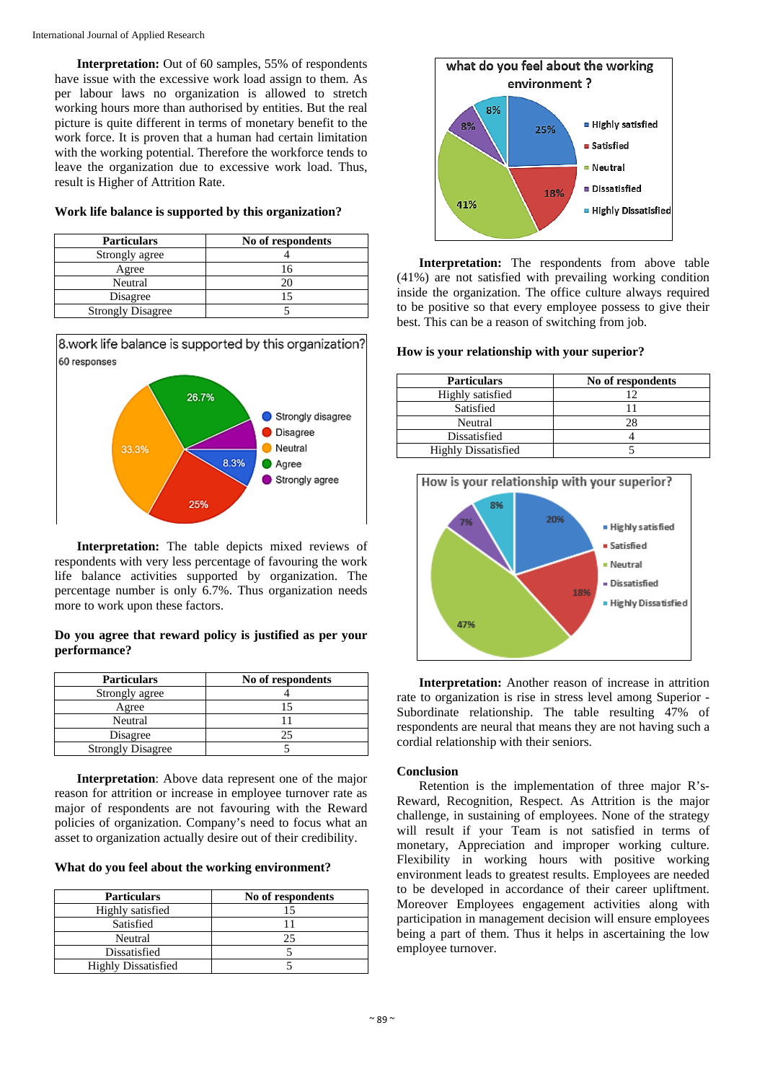**Interpretation:** Out of 60 samples, 55% of respondents have issue with the excessive work load assign to them. As per labour laws no organization is allowed to stretch working hours more than authorised by entities. But the real picture is quite different in terms of monetary benefit to the work force. It is proven that a human had certain limitation with the working potential. Therefore the workforce tends to leave the organization due to excessive work load. Thus, result is Higher of Attrition Rate.

## **Work life balance is supported by this organization?**

| <b>Particulars</b>       | No of respondents |
|--------------------------|-------------------|
| Strongly agree           |                   |
| Agree                    | 16                |
| Neutral                  |                   |
| Disagree                 |                   |
| <b>Strongly Disagree</b> |                   |



**Interpretation:** The table depicts mixed reviews of respondents with very less percentage of favouring the work life balance activities supported by organization. The percentage number is only 6.7%. Thus organization needs more to work upon these factors.

## **Do you agree that reward policy is justified as per your performance?**

| <b>Particulars</b>       | No of respondents |
|--------------------------|-------------------|
| Strongly agree           |                   |
| Agree                    |                   |
| Neutral                  |                   |
| Disagree                 |                   |
| <b>Strongly Disagree</b> |                   |

**Interpretation**: Above data represent one of the major reason for attrition or increase in employee turnover rate as major of respondents are not favouring with the Reward policies of organization. Company's need to focus what an asset to organization actually desire out of their credibility.

**What do you feel about the working environment?**

| <b>Particulars</b>         | No of respondents |
|----------------------------|-------------------|
| Highly satisfied           |                   |
| Satisfied                  |                   |
| Neutral                    |                   |
| Dissatisfied               |                   |
| <b>Highly Dissatisfied</b> |                   |



**Interpretation:** The respondents from above table (41%) are not satisfied with prevailing working condition inside the organization. The office culture always required to be positive so that every employee possess to give their best. This can be a reason of switching from job.

## **How is your relationship with your superior?**

| <b>Particulars</b>         | No of respondents |
|----------------------------|-------------------|
| Highly satisfied           | 12                |
| Satisfied                  |                   |
| Neutral                    | 28                |
| Dissatisfied               |                   |
| <b>Highly Dissatisfied</b> |                   |



**Interpretation:** Another reason of increase in attrition rate to organization is rise in stress level among Superior - Subordinate relationship. The table resulting 47% of respondents are neural that means they are not having such a cordial relationship with their seniors.

## **Conclusion**

Retention is the implementation of three major R's-Reward, Recognition, Respect. As Attrition is the major challenge, in sustaining of employees. None of the strategy will result if your Team is not satisfied in terms of monetary, Appreciation and improper working culture. Flexibility in working hours with positive working environment leads to greatest results. Employees are needed to be developed in accordance of their career upliftment. Moreover Employees engagement activities along with participation in management decision will ensure employees being a part of them. Thus it helps in ascertaining the low employee turnover.